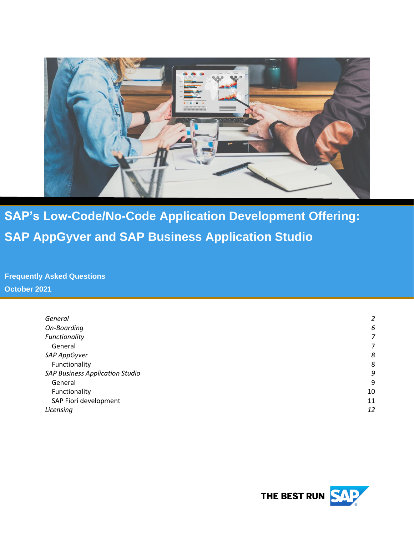

**SAP's Low-Code/No-Code Application Development Offering: SAP AppGyver and SAP Business Application Studio**

**Frequently Asked Questions October 2021**

| General                                | 2  |
|----------------------------------------|----|
| On-Boarding                            | 6  |
| Functionality                          | 7  |
| General                                | 7  |
| SAP AppGyver                           | 8  |
| Functionality                          | 8  |
| <b>SAP Business Application Studio</b> | 9  |
| General                                | 9  |
| Functionality                          | 10 |
| SAP Fiori development                  | 11 |
| Licensing                              | 12 |
|                                        |    |

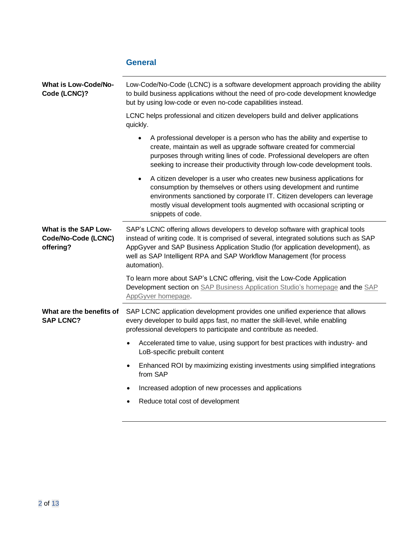<span id="page-1-0"></span>

|                                                          | <b>General</b>                                                                                                                                                                                                                                                                                                                                    |  |
|----------------------------------------------------------|---------------------------------------------------------------------------------------------------------------------------------------------------------------------------------------------------------------------------------------------------------------------------------------------------------------------------------------------------|--|
| <b>What is Low-Code/No-</b><br>Code (LCNC)?              | Low-Code/No-Code (LCNC) is a software development approach providing the ability<br>to build business applications without the need of pro-code development knowledge<br>but by using low-code or even no-code capabilities instead.                                                                                                              |  |
|                                                          | LCNC helps professional and citizen developers build and deliver applications<br>quickly.                                                                                                                                                                                                                                                         |  |
|                                                          | A professional developer is a person who has the ability and expertise to<br>$\bullet$<br>create, maintain as well as upgrade software created for commercial<br>purposes through writing lines of code. Professional developers are often<br>seeking to increase their productivity through low-code development tools.                          |  |
|                                                          | A citizen developer is a user who creates new business applications for<br>$\bullet$<br>consumption by themselves or others using development and runtime<br>environments sanctioned by corporate IT. Citizen developers can leverage<br>mostly visual development tools augmented with occasional scripting or<br>snippets of code.              |  |
| What is the SAP Low-<br>Code/No-Code (LCNC)<br>offering? | SAP's LCNC offering allows developers to develop software with graphical tools<br>instead of writing code. It is comprised of several, integrated solutions such as SAP<br>AppGyver and SAP Business Application Studio (for application development), as<br>well as SAP Intelligent RPA and SAP Workflow Management (for process<br>automation). |  |
|                                                          | To learn more about SAP's LCNC offering, visit the Low-Code Application<br>Development section on SAP Business Application Studio's homepage and the SAP<br>AppGyver homepage                                                                                                                                                                     |  |
| What are the benefits of<br><b>SAP LCNC?</b>             | SAP LCNC application development provides one unified experience that allows<br>every developer to build apps fast, no matter the skill-level, while enabling<br>professional developers to participate and contribute as needed.                                                                                                                 |  |
|                                                          | Accelerated time to value, using support for best practices with industry- and<br>LoB-specific prebuilt content                                                                                                                                                                                                                                   |  |
|                                                          | Enhanced ROI by maximizing existing investments using simplified integrations<br>from SAP                                                                                                                                                                                                                                                         |  |
|                                                          | Increased adoption of new processes and applications                                                                                                                                                                                                                                                                                              |  |
|                                                          | Reduce total cost of development                                                                                                                                                                                                                                                                                                                  |  |
|                                                          |                                                                                                                                                                                                                                                                                                                                                   |  |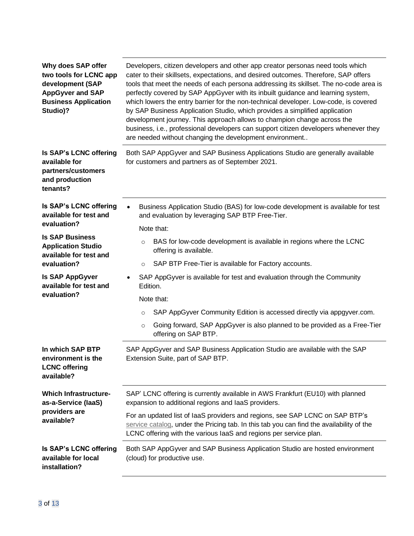| Why does SAP offer<br>two tools for LCNC app<br>development (SAP<br><b>AppGyver and SAP</b><br><b>Business Application</b><br>Studio)? | Developers, citizen developers and other app creator personas need tools which<br>cater to their skillsets, expectations, and desired outcomes. Therefore, SAP offers<br>tools that meet the needs of each persona addressing its skillset. The no-code area is<br>perfectly covered by SAP AppGyver with its inbuilt guidance and learning system,<br>which lowers the entry barrier for the non-technical developer. Low-code, is covered<br>by SAP Business Application Studio, which provides a simplified application<br>development journey. This approach allows to champion change across the<br>business, i.e., professional developers can support citizen developers whenever they<br>are needed without changing the development environment |  |
|----------------------------------------------------------------------------------------------------------------------------------------|----------------------------------------------------------------------------------------------------------------------------------------------------------------------------------------------------------------------------------------------------------------------------------------------------------------------------------------------------------------------------------------------------------------------------------------------------------------------------------------------------------------------------------------------------------------------------------------------------------------------------------------------------------------------------------------------------------------------------------------------------------|--|
| Is SAP's LCNC offering<br>available for<br>partners/customers<br>and production<br>tenants?                                            | Both SAP AppGyver and SAP Business Applications Studio are generally available<br>for customers and partners as of September 2021.                                                                                                                                                                                                                                                                                                                                                                                                                                                                                                                                                                                                                       |  |
| Is SAP's LCNC offering<br>available for test and<br>evaluation?                                                                        | Business Application Studio (BAS) for low-code development is available for test<br>and evaluation by leveraging SAP BTP Free-Tier.                                                                                                                                                                                                                                                                                                                                                                                                                                                                                                                                                                                                                      |  |
| <b>Is SAP Business</b><br><b>Application Studio</b><br>available for test and<br>evaluation?                                           | Note that:<br>BAS for low-code development is available in regions where the LCNC<br>$\circ$<br>offering is available.<br>SAP BTP Free-Tier is available for Factory accounts.<br>$\circ$                                                                                                                                                                                                                                                                                                                                                                                                                                                                                                                                                                |  |
| <b>Is SAP AppGyver</b><br>available for test and<br>evaluation?                                                                        | SAP AppGyver is available for test and evaluation through the Community<br>Edition.<br>Note that:<br>SAP AppGyver Community Edition is accessed directly via appgyver.com.<br>$\circ$<br>Going forward, SAP AppGyver is also planned to be provided as a Free-Tier<br>$\circ$<br>offering on SAP BTP.                                                                                                                                                                                                                                                                                                                                                                                                                                                    |  |
| In which SAP BTP<br>environment is the<br><b>LCNC</b> offering<br>available?                                                           | SAP AppGyver and SAP Business Application Studio are available with the SAP<br>Extension Suite, part of SAP BTP.                                                                                                                                                                                                                                                                                                                                                                                                                                                                                                                                                                                                                                         |  |
| <b>Which Infrastructure-</b><br>as-a-Service (laaS)<br>providers are<br>available?                                                     | SAP' LCNC offering is currently available in AWS Frankfurt (EU10) with planned<br>expansion to additional regions and laaS providers.<br>For an updated list of laaS providers and regions, see SAP LCNC on SAP BTP's<br>service catalog, under the Pricing tab. In this tab you can find the availability of the<br>LCNC offering with the various laaS and regions per service plan.                                                                                                                                                                                                                                                                                                                                                                   |  |
| Is SAP's LCNC offering<br>available for local<br>installation?                                                                         | Both SAP AppGyver and SAP Business Application Studio are hosted environment<br>(cloud) for productive use.                                                                                                                                                                                                                                                                                                                                                                                                                                                                                                                                                                                                                                              |  |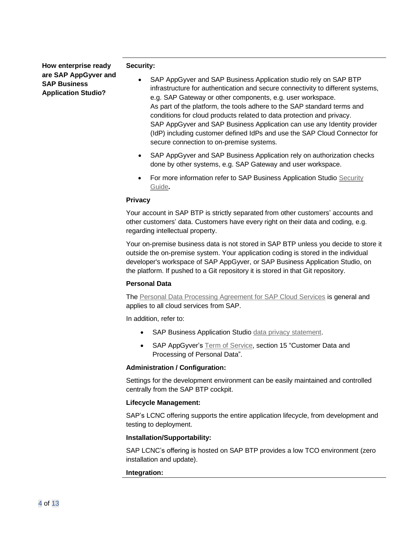**How enterprise ready are SAP AppGyver and SAP Business Application Studio?**

#### **Security:**

- SAP AppGyver and SAP Business Application studio rely on SAP BTP infrastructure for authentication and secure connectivity to different systems, e.g. SAP Gateway or other components, e.g. user workspace. As part of the platform, the tools adhere to the SAP standard terms and conditions for cloud products related to data protection and privacy. SAP AppGyver and SAP Business Application can use any Identity provider (IdP) including customer defined IdPs and use the SAP Cloud Connector for secure connection to on-premise systems.
- SAP AppGyver and SAP Business Application rely on authorization checks done by other systems, e.g. SAP Gateway and user workspace.
- For more information refer to SAP Business Application Studio Security [Guide](https://help.sap.com/viewer/9d1db9835307451daa8c930fbd9ab264/Cloud/en-US/7b2bdd5e38e64f129988b86e8e2836e3.html)**.**

### **Privacy**

Your account in SAP BTP is strictly separated from other customers' accounts and other customers' data. Customers have every right on their data and coding, e.g. regarding intellectual property.

Your on-premise business data is not stored in SAP BTP unless you decide to store it outside the on-premise system. Your application coding is stored in the individual developer's workspace of SAP AppGyver, or SAP Business Application Studio, on the platform. If pushed to a Git repository it is stored in that Git repository.

### **Personal Data**

The [Personal Data Processing Agreement for SAP Cloud Services](https://www.sap.com/about/trust-center/agreements/cloud/cloud-services.html?search=Data%20Processing&sort=latest_desc) is general and applies to all cloud services from SAP.

In addition, refer to:

- SAP Business Application Studio [data privacy statement.](https://help.sap.com/viewer/27cdd13effac49f7839d9cc74fe5223f/Cloud/en-US/d286c063c8cb4aa687ce5c07da58d2ea.html)
- SAP AppGyver's [Term of Service,](https://www.appgyver.com/tos) section 15 "Customer Data and Processing of Personal Data".

### **Administration / Configuration:**

Settings for the development environment can be easily maintained and controlled centrally from the SAP BTP cockpit.

#### **Lifecycle Management:**

SAP's LCNC offering supports the entire application lifecycle, from development and testing to deployment.

### **Installation/Supportability:**

SAP LCNC's offering is hosted on SAP BTP provides a low TCO environment (zero installation and update).

### **Integration:**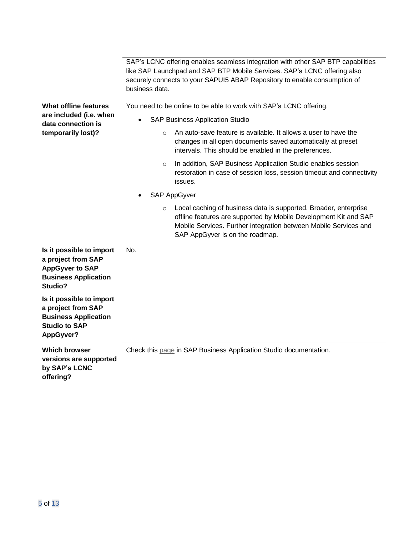|                                                                                                                    | SAP's LCNC offering enables seamless integration with other SAP BTP capabilities<br>like SAP Launchpad and SAP BTP Mobile Services. SAP's LCNC offering also<br>securely connects to your SAPUI5 ABAP Repository to enable consumption of<br>business data. |  |
|--------------------------------------------------------------------------------------------------------------------|-------------------------------------------------------------------------------------------------------------------------------------------------------------------------------------------------------------------------------------------------------------|--|
| <b>What offline features</b>                                                                                       | You need to be online to be able to work with SAP's LCNC offering.                                                                                                                                                                                          |  |
| are included (i.e. when<br>data connection is                                                                      | <b>SAP Business Application Studio</b><br>$\bullet$                                                                                                                                                                                                         |  |
| temporarily lost)?                                                                                                 | An auto-save feature is available. It allows a user to have the<br>$\circ$<br>changes in all open documents saved automatically at preset<br>intervals. This should be enabled in the preferences.                                                          |  |
|                                                                                                                    | In addition, SAP Business Application Studio enables session<br>$\circ$<br>restoration in case of session loss, session timeout and connectivity<br>issues.                                                                                                 |  |
|                                                                                                                    | SAP AppGyver                                                                                                                                                                                                                                                |  |
|                                                                                                                    | Local caching of business data is supported. Broader, enterprise<br>$\circ$<br>offline features are supported by Mobile Development Kit and SAP<br>Mobile Services. Further integration between Mobile Services and<br>SAP AppGyver is on the roadmap.      |  |
| Is it possible to import<br>a project from SAP<br><b>AppGyver to SAP</b><br><b>Business Application</b><br>Studio? | No.                                                                                                                                                                                                                                                         |  |
| Is it possible to import<br>a project from SAP<br><b>Business Application</b><br><b>Studio to SAP</b><br>AppGyver? |                                                                                                                                                                                                                                                             |  |
| <b>Which browser</b><br>versions are supported<br>by SAP's LCNC<br>offering?                                       | Check this page in SAP Business Application Studio documentation.                                                                                                                                                                                           |  |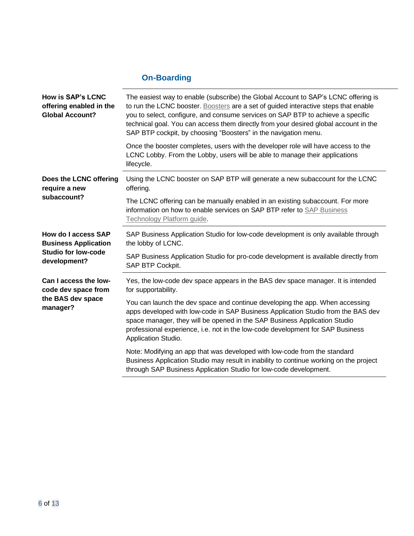## <span id="page-5-0"></span>**On-Boarding**

| <b>How is SAP's LCNC</b><br>offering enabled in the<br><b>Global Account?</b>                    | The easiest way to enable (subscribe) the Global Account to SAP's LCNC offering is<br>to run the LCNC booster. Boosters are a set of guided interactive steps that enable<br>you to select, configure, and consume services on SAP BTP to achieve a specific<br>technical goal. You can access them directly from your desired global account in the<br>SAP BTP cockpit, by choosing "Boosters" in the navigation menu. |
|--------------------------------------------------------------------------------------------------|-------------------------------------------------------------------------------------------------------------------------------------------------------------------------------------------------------------------------------------------------------------------------------------------------------------------------------------------------------------------------------------------------------------------------|
|                                                                                                  | Once the booster completes, users with the developer role will have access to the<br>LCNC Lobby. From the Lobby, users will be able to manage their applications<br>lifecycle.                                                                                                                                                                                                                                          |
| Does the LCNC offering<br>require a new<br>subaccount?                                           | Using the LCNC booster on SAP BTP will generate a new subaccount for the LCNC<br>offering.                                                                                                                                                                                                                                                                                                                              |
|                                                                                                  | The LCNC offering can be manually enabled in an existing subaccount. For more<br>information on how to enable services on SAP BTP refer to SAP Business<br>Technology Platform guide.                                                                                                                                                                                                                                   |
| How do I access SAP<br><b>Business Application</b><br><b>Studio for low-code</b><br>development? | SAP Business Application Studio for low-code development is only available through<br>the lobby of LCNC.                                                                                                                                                                                                                                                                                                                |
|                                                                                                  | SAP Business Application Studio for pro-code development is available directly from<br>SAP BTP Cockpit.                                                                                                                                                                                                                                                                                                                 |
| Can I access the low-<br>code dev space from<br>the BAS dev space<br>manager?                    | Yes, the low-code dev space appears in the BAS dev space manager. It is intended<br>for supportability.                                                                                                                                                                                                                                                                                                                 |
|                                                                                                  | You can launch the dev space and continue developing the app. When accessing<br>apps developed with low-code in SAP Business Application Studio from the BAS dev<br>space manager, they will be opened in the SAP Business Application Studio<br>professional experience, i.e. not in the low-code development for SAP Business<br>Application Studio.                                                                  |
|                                                                                                  | Note: Modifying an app that was developed with low-code from the standard<br>Business Application Studio may result in inability to continue working on the project<br>through SAP Business Application Studio for low-code development.                                                                                                                                                                                |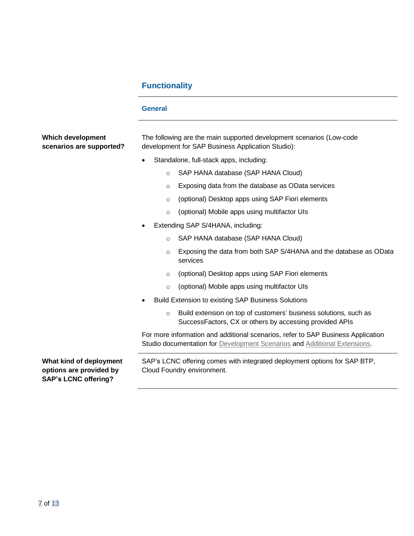## <span id="page-6-1"></span><span id="page-6-0"></span>**Functionality**

|                                                                                   | <b>General</b>                                                                                                                                                |
|-----------------------------------------------------------------------------------|---------------------------------------------------------------------------------------------------------------------------------------------------------------|
| Which development<br>scenarios are supported?                                     | The following are the main supported development scenarios (Low-code<br>development for SAP Business Application Studio):                                     |
|                                                                                   | Standalone, full-stack apps, including:                                                                                                                       |
|                                                                                   | SAP HANA database (SAP HANA Cloud)<br>$\circ$                                                                                                                 |
|                                                                                   | Exposing data from the database as OData services<br>$\circ$                                                                                                  |
|                                                                                   | (optional) Desktop apps using SAP Fiori elements<br>$\circ$                                                                                                   |
|                                                                                   | (optional) Mobile apps using multifactor UIs<br>$\circ$                                                                                                       |
|                                                                                   | Extending SAP S/4HANA, including:                                                                                                                             |
|                                                                                   | SAP HANA database (SAP HANA Cloud)<br>$\Omega$                                                                                                                |
|                                                                                   | Exposing the data from both SAP S/4HANA and the database as OData<br>$\circ$<br>services                                                                      |
|                                                                                   | (optional) Desktop apps using SAP Fiori elements<br>$\circ$                                                                                                   |
|                                                                                   | (optional) Mobile apps using multifactor UIs<br>$\circ$                                                                                                       |
|                                                                                   | <b>Build Extension to existing SAP Business Solutions</b>                                                                                                     |
|                                                                                   | Build extension on top of customers' business solutions, such as<br>$\circ$<br>SuccessFactors, CX or others by accessing provided APIs                        |
|                                                                                   | For more information and additional scenarios, refer to SAP Business Application<br>Studio documentation for Development Scenarios and Additional Extensions. |
| What kind of deployment<br>options are provided by<br><b>SAP's LCNC offering?</b> | SAP's LCNC offering comes with integrated deployment options for SAP BTP,<br>Cloud Foundry environment.                                                       |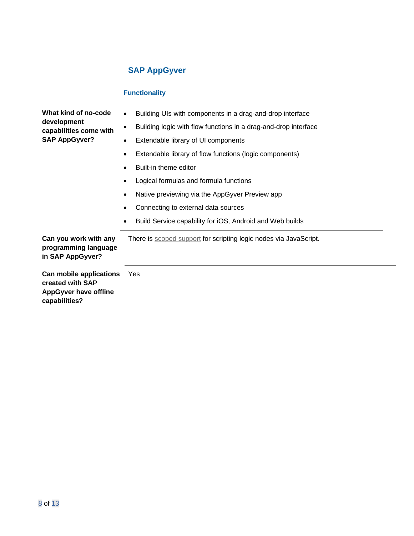## <span id="page-7-1"></span><span id="page-7-0"></span>**SAP AppGyver**

|                                                                                              | <b>Functionality</b>                                                         |  |
|----------------------------------------------------------------------------------------------|------------------------------------------------------------------------------|--|
| What kind of no-code<br>development<br>capabilities come with<br><b>SAP AppGyver?</b>        | Building UIs with components in a drag-and-drop interface<br>$\bullet$       |  |
|                                                                                              | Building logic with flow functions in a drag-and-drop interface<br>$\bullet$ |  |
|                                                                                              | Extendable library of UI components<br>$\bullet$                             |  |
|                                                                                              | Extendable library of flow functions (logic components)<br>$\bullet$         |  |
|                                                                                              | Built-in theme editor                                                        |  |
|                                                                                              | Logical formulas and formula functions                                       |  |
|                                                                                              | Native previewing via the AppGyver Preview app                               |  |
|                                                                                              | Connecting to external data sources                                          |  |
|                                                                                              | Build Service capability for iOS, Android and Web builds                     |  |
| Can you work with any<br>programming language<br>in SAP AppGyver?                            | There is scoped support for scripting logic nodes via JavaScript.            |  |
| Can mobile applications<br>created with SAP<br><b>AppGyver have offline</b><br>capabilities? | Yes                                                                          |  |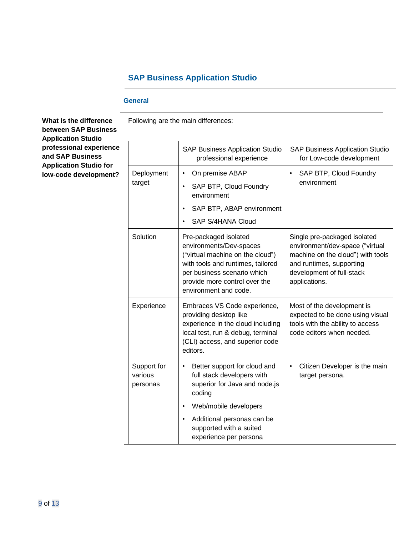## <span id="page-8-0"></span>**SAP Business Application Studio**

Following are the main differences:

### <span id="page-8-1"></span>**General**

**What is the difference between SAP Business Application Studio professional experience and SAP Business Application Studio for low-code development?**

|                                    | <b>SAP Business Application Studio</b><br>professional experience                                                                                                                                                  | <b>SAP Business Application Studio</b><br>for Low-code development                                                                                                             |
|------------------------------------|--------------------------------------------------------------------------------------------------------------------------------------------------------------------------------------------------------------------|--------------------------------------------------------------------------------------------------------------------------------------------------------------------------------|
| Deployment<br>target               | On premise ABAP<br>SAP BTP, Cloud Foundry<br>environment<br>SAP BTP, ABAP environment<br>SAP S/4HANA Cloud                                                                                                         | SAP BTP, Cloud Foundry<br>environment                                                                                                                                          |
| Solution                           | Pre-packaged isolated<br>environments/Dev-spaces<br>("virtual machine on the cloud")<br>with tools and runtimes, tailored<br>per business scenario which<br>provide more control over the<br>environment and code. | Single pre-packaged isolated<br>environment/dev-space ("virtual<br>machine on the cloud") with tools<br>and runtimes, supporting<br>development of full-stack<br>applications. |
| Experience                         | Embraces VS Code experience,<br>providing desktop like<br>experience in the cloud including<br>local test, run & debug, terminal<br>(CLI) access, and superior code<br>editors.                                    | Most of the development is<br>expected to be done using visual<br>tools with the ability to access<br>code editors when needed.                                                |
| Support for<br>various<br>personas | Better support for cloud and<br>full stack developers with<br>superior for Java and node.js<br>coding                                                                                                              | Citizen Developer is the main<br>target persona.                                                                                                                               |
|                                    | Web/mobile developers                                                                                                                                                                                              |                                                                                                                                                                                |
|                                    | Additional personas can be<br>supported with a suited<br>experience per persona                                                                                                                                    |                                                                                                                                                                                |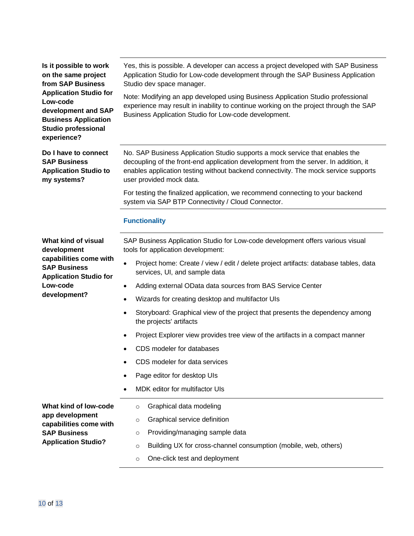**Is it possible to work on the same project from SAP Business Application Studio for Low-code development and SAP Business Application Studio professional experience?**

**Do I have to connect SAP Business Application Studio to my systems?**

Yes, this is possible. A developer can access a project developed with SAP Business Application Studio for Low-code development through the SAP Business Application Studio dev space manager.

Note: Modifying an app developed using Business Application Studio professional experience may result in inability to continue working on the project through the SAP Business Application Studio for Low-code development.

No. SAP Business Application Studio supports a mock service that enables the decoupling of the front-end application development from the server. In addition, it enables application testing without backend connectivity. The mock service supports user provided mock data.

For testing the finalized application, we recommend connecting to your backend system via SAP BTP Connectivity / Cloud Connector.

### <span id="page-9-0"></span>**Functionality**

SAP Business Application Studio for Low-code development offers various visual tools for application development:

- Project home: Create / view / edit / delete project artifacts: database tables, data services, UI, and sample data
- Adding external OData data sources from BAS Service Center
- Wizards for creating desktop and multifactor UIs
- Storyboard: Graphical view of the project that presents the dependency among the projects' artifacts
- Project Explorer view provides tree view of the artifacts in a compact manner
- CDS modeler for databases
- CDS modeler for data services
- Page editor for desktop UIs
- MDK editor for multifactor UIs

**What kind of low-code app development capabilities come with SAP Business Application Studio?**

- o Graphical data modeling
- o Graphical service definition
- o Providing/managing sample data
- o Building UX for cross-channel consumption (mobile, web, others)
- o One-click test and deployment

**What kind of visual development capabilities come with SAP Business Application Studio for Low-code development?**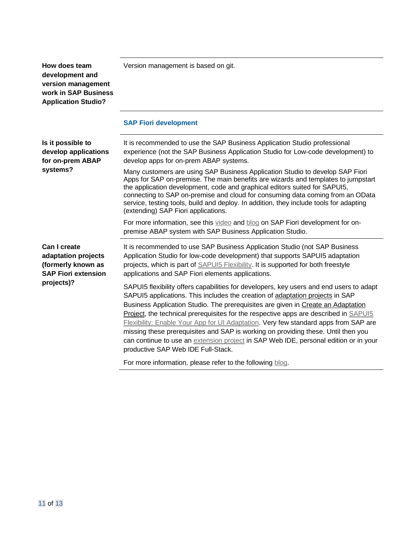**How does team development and version management work in SAP Business Application Studio?**

Version management is based on git.

### <span id="page-10-0"></span>**SAP Fiori development**

| Is it possible to<br>develop applications<br>for on-prem ABAP<br>systems?                             | It is recommended to use the SAP Business Application Studio professional<br>experience (not the SAP Business Application Studio for Low-code development) to<br>develop apps for on-prem ABAP systems.<br>Many customers are using SAP Business Application Studio to develop SAP Fiori<br>Apps for SAP on-premise. The main benefits are wizards and templates to jumpstart<br>the application development, code and graphical editors suited for SAPUI5,<br>connecting to SAP on-premise and cloud for consuming data coming from an OData<br>service, testing tools, build and deploy. In addition, they include tools for adapting<br>(extending) SAP Fiori applications.<br>For more information, see this video and blog on SAP Fiori development for on- |
|-------------------------------------------------------------------------------------------------------|------------------------------------------------------------------------------------------------------------------------------------------------------------------------------------------------------------------------------------------------------------------------------------------------------------------------------------------------------------------------------------------------------------------------------------------------------------------------------------------------------------------------------------------------------------------------------------------------------------------------------------------------------------------------------------------------------------------------------------------------------------------|
|                                                                                                       | premise ABAP system with SAP Business Application Studio.                                                                                                                                                                                                                                                                                                                                                                                                                                                                                                                                                                                                                                                                                                        |
| Can I create<br>adaptation projects<br>(formerly known as<br><b>SAP Fiori extension</b><br>projects)? | It is recommended to use SAP Business Application Studio (not SAP Business<br>Application Studio for low-code development) that supports SAPUI5 adaptation<br>projects, which is part of <b>SAPUI5</b> Flexibility. It is supported for both freestyle<br>applications and SAP Fiori elements applications.                                                                                                                                                                                                                                                                                                                                                                                                                                                      |
|                                                                                                       | SAPUI5 flexibility offers capabilities for developers, key users and end users to adapt<br>SAPUI5 applications. This includes the creation of adaptation projects in SAP<br>Business Application Studio. The prerequisites are given in Create an Adaptation<br><b>Project, the technical prerequisites for the respective apps are described in SAPUI5</b><br>Flexibility: Enable Your App for UI Adaptation. Very few standard apps from SAP are<br>missing these prerequisites and SAP is working on providing these. Until then you<br>can continue to use an extension project in SAP Web IDE, personal edition or in your<br>productive SAP Web IDE Full-Stack.                                                                                            |
|                                                                                                       | For more information, please refer to the following blog.                                                                                                                                                                                                                                                                                                                                                                                                                                                                                                                                                                                                                                                                                                        |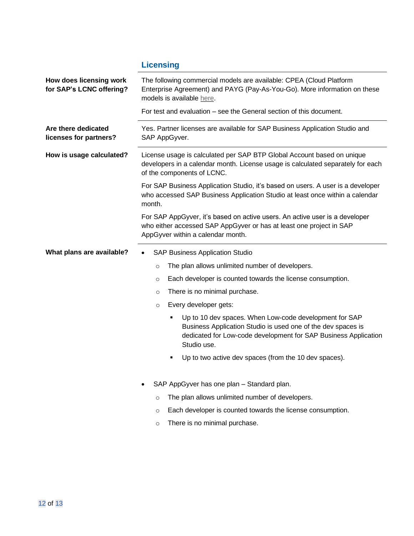# <span id="page-11-0"></span>**Licensing**

| How does licensing work<br>for SAP's LCNC offering? | The following commercial models are available: CPEA (Cloud Platform<br>Enterprise Agreement) and PAYG (Pay-As-You-Go). More information on these<br>models is available here.                                 |  |
|-----------------------------------------------------|---------------------------------------------------------------------------------------------------------------------------------------------------------------------------------------------------------------|--|
|                                                     | For test and evaluation – see the General section of this document.                                                                                                                                           |  |
| Are there dedicated<br>licenses for partners?       | Yes. Partner licenses are available for SAP Business Application Studio and<br>SAP AppGyver.                                                                                                                  |  |
| How is usage calculated?                            | License usage is calculated per SAP BTP Global Account based on unique<br>developers in a calendar month. License usage is calculated separately for each<br>of the components of LCNC.                       |  |
|                                                     | For SAP Business Application Studio, it's based on users. A user is a developer<br>who accessed SAP Business Application Studio at least once within a calendar<br>month.                                     |  |
|                                                     | For SAP AppGyver, it's based on active users. An active user is a developer<br>who either accessed SAP AppGyver or has at least one project in SAP<br>AppGyver within a calendar month.                       |  |
| What plans are available?                           | <b>SAP Business Application Studio</b>                                                                                                                                                                        |  |
|                                                     | The plan allows unlimited number of developers.<br>$\circ$                                                                                                                                                    |  |
|                                                     | Each developer is counted towards the license consumption.<br>O                                                                                                                                               |  |
|                                                     | There is no minimal purchase.<br>O                                                                                                                                                                            |  |
|                                                     | Every developer gets:<br>$\circ$                                                                                                                                                                              |  |
|                                                     | Up to 10 dev spaces. When Low-code development for SAP<br>٠<br>Business Application Studio is used one of the dev spaces is<br>dedicated for Low-code development for SAP Business Application<br>Studio use. |  |
|                                                     | Up to two active dev spaces (from the 10 dev spaces).<br>Е                                                                                                                                                    |  |
|                                                     | SAP AppGyver has one plan - Standard plan.<br>٠                                                                                                                                                               |  |
|                                                     | The plan allows unlimited number of developers.<br>$\circ$                                                                                                                                                    |  |
|                                                     | Each developer is counted towards the license consumption.<br>$\circ$                                                                                                                                         |  |
|                                                     | There is no minimal purchase.<br>$\circ$                                                                                                                                                                      |  |